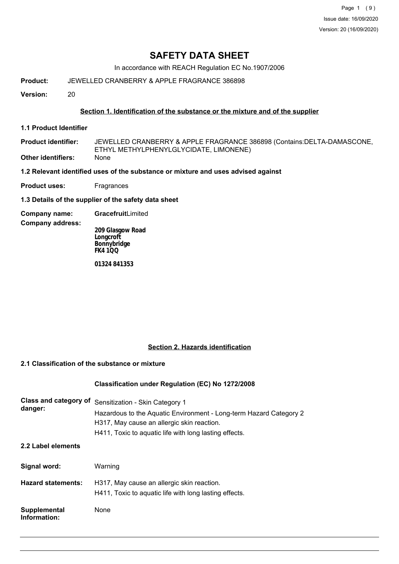Page 1 (9) Issue date: 16/09/2020 Version: 20 (16/09/2020)

# **SAFETY DATA SHEET**

In accordance with REACH Regulation EC No.1907/2006

**Product:** JEWELLED CRANBERRY & APPLE FRAGRANCE 386898

**Version:** 20

### **Section 1. Identification of the substance or the mixture and of the supplier**

- **1.1 Product Identifier**
- JEWELLED CRANBERRY & APPLE FRAGRANCE 386898 (Contains:DELTA-DAMASCONE, ETHYL METHYLPHENYLGLYCIDATE, LIMONENE) **Product identifier: Other identifiers:** None
- **1.2 Relevant identified uses of the substance or mixture and uses advised against**
- **Product uses:** Fragrances
- **1.3 Details of the supplier of the safety data sheet**
- **Company name: Gracefruit**Limited

### **Company address:**

**209 Glasgow Road Longcroft Bonnybridge FK4 1QQ**

**01324 841353**

### **Section 2. Hazards identification**

# **2.1 Classification of the substance or mixture**

### **Classification under Regulation (EC) No 1272/2008**

| Class and category of<br>danger: | Sensitization - Skin Category 1<br>Hazardous to the Aquatic Environment - Long-term Hazard Category 2<br>H317, May cause an allergic skin reaction.<br>H411, Toxic to aquatic life with long lasting effects. |
|----------------------------------|---------------------------------------------------------------------------------------------------------------------------------------------------------------------------------------------------------------|
| 2.2 Label elements               |                                                                                                                                                                                                               |
| Signal word:                     | Warning                                                                                                                                                                                                       |
| <b>Hazard statements:</b>        | H317, May cause an allergic skin reaction.<br>H411, Toxic to aquatic life with long lasting effects.                                                                                                          |
| Supplemental<br>Information:     | None                                                                                                                                                                                                          |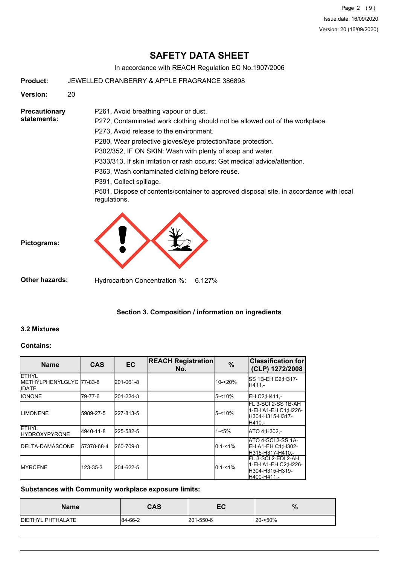Page 2 (9) Issue date: 16/09/2020 Version: 20 (16/09/2020)

# **SAFETY DATA SHEET**

In accordance with REACH Regulation EC No.1907/2006

**Product:** JEWELLED CRANBERRY & APPLE FRAGRANCE 386898

**Version:** 20

**Precautionary statements:**

P272, Contaminated work clothing should not be allowed out of the workplace.

P273, Avoid release to the environment.

P261, Avoid breathing vapour or dust.

P280, Wear protective gloves/eye protection/face protection.

P302/352, IF ON SKIN: Wash with plenty of soap and water.

P333/313, If skin irritation or rash occurs: Get medical advice/attention.

P363, Wash contaminated clothing before reuse.

P391, Collect spillage.

P501, Dispose of contents/container to approved disposal site, in accordance with local regulations.



**Other hazards:** Hydrocarbon Concentration %: 6.127%

## **Section 3. Composition / information on ingredients**

### **3.2 Mixtures**

**Pictograms:**

#### **Contains:**

| <b>Name</b>                                              | <b>CAS</b>     | <b>EC</b> | <b>REACH Registration</b><br>No. | $\%$             | <b>Classification for</b><br>(CLP) 1272/2008                                   |
|----------------------------------------------------------|----------------|-----------|----------------------------------|------------------|--------------------------------------------------------------------------------|
| <b>ETHYL</b><br>METHYLPHENYLGLYC 77-83-8<br><b>IDATE</b> |                | 201-061-8 |                                  | 10-<20%          | SS 1B-EH C2;H317-<br>H411.-                                                    |
| <b>IIONONE</b>                                           | 79-77-6        | 201-224-3 |                                  | 5-<10%           | EH C2:H411.-                                                                   |
| <b>ILIMONENE</b>                                         | 5989-27-5      | 227-813-5 |                                  | <b>5-&lt;10%</b> | FL 3-SCI 2-SS 1B-AH<br>1-EH A1-EH C1;H226-<br>lH304-H315-H317-<br>H410.-       |
| <b>ETHYL</b><br><b>IHYDROXYPYRONE</b>                    | 4940-11-8      | 225-582-5 |                                  | $1 - 5%$         | ATO 4:H302.-                                                                   |
| <b>IDELTA-DAMASCONE</b>                                  | 57378-68-4     | 260-709-8 |                                  | $0.1 - 1\%$      | <b>ATO 4-SCI 2-SS 1A-</b><br>EH A1-EH C1:H302-<br>H315-H317-H410.-             |
| <b>IMYRCENE</b>                                          | $123 - 35 - 3$ | 204-622-5 |                                  | $0.1 - 1\%$      | FL 3-SCI 2-EDI 2-AH<br>1-EH A1-EH C2:H226-<br>lH304-H315-H319-<br>lH400-H411.- |

### **Substances with Community workplace exposure limits:**

| <b>Name</b>               | CAS     | гΛ<br>cv  | $\%$    |
|---------------------------|---------|-----------|---------|
| <b>IDIETHYL PHTHALATE</b> | 84-66-2 | 201-550-6 | 20-<50% |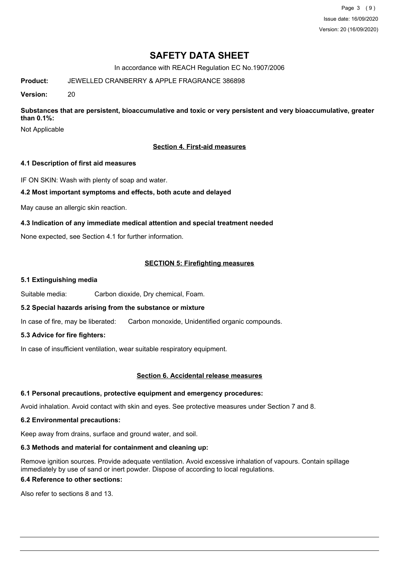Page 3 (9) Issue date: 16/09/2020 Version: 20 (16/09/2020)

# **SAFETY DATA SHEET**

In accordance with REACH Regulation EC No.1907/2006

**Product:** JEWELLED CRANBERRY & APPLE FRAGRANCE 386898

**Version:** 20

**Substances that are persistent, bioaccumulative and toxic or very persistent and very bioaccumulative, greater than 0.1%:**

Not Applicable

### **Section 4. First-aid measures**

### **4.1 Description of first aid measures**

IF ON SKIN: Wash with plenty of soap and water.

### **4.2 Most important symptoms and effects, both acute and delayed**

May cause an allergic skin reaction.

### **4.3 Indication of any immediate medical attention and special treatment needed**

None expected, see Section 4.1 for further information.

### **SECTION 5: Firefighting measures**

#### **5.1 Extinguishing media**

Suitable media: Carbon dioxide, Dry chemical, Foam.

### **5.2 Special hazards arising from the substance or mixture**

In case of fire, may be liberated: Carbon monoxide, Unidentified organic compounds.

### **5.3 Advice for fire fighters:**

In case of insufficient ventilation, wear suitable respiratory equipment.

### **Section 6. Accidental release measures**

### **6.1 Personal precautions, protective equipment and emergency procedures:**

Avoid inhalation. Avoid contact with skin and eyes. See protective measures under Section 7 and 8.

### **6.2 Environmental precautions:**

Keep away from drains, surface and ground water, and soil.

### **6.3 Methods and material for containment and cleaning up:**

Remove ignition sources. Provide adequate ventilation. Avoid excessive inhalation of vapours. Contain spillage immediately by use of sand or inert powder. Dispose of according to local regulations.

### **6.4 Reference to other sections:**

Also refer to sections 8 and 13.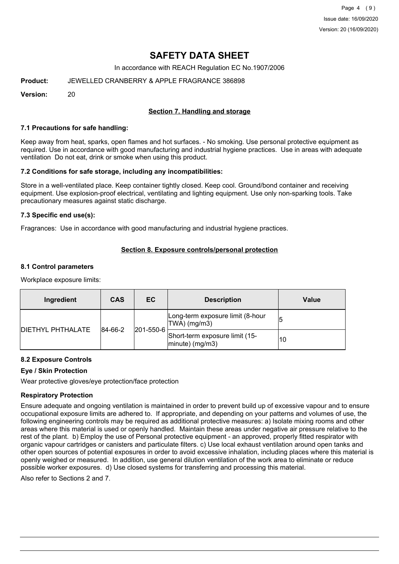Page 4 (9) Issue date: 16/09/2020 Version: 20 (16/09/2020)

# **SAFETY DATA SHEET**

In accordance with REACH Regulation EC No.1907/2006

**Product:** JEWELLED CRANBERRY & APPLE FRAGRANCE 386898

**Version:** 20

## **Section 7. Handling and storage**

#### **7.1 Precautions for safe handling:**

Keep away from heat, sparks, open flames and hot surfaces. - No smoking. Use personal protective equipment as required. Use in accordance with good manufacturing and industrial hygiene practices. Use in areas with adequate ventilation Do not eat, drink or smoke when using this product.

### **7.2 Conditions for safe storage, including any incompatibilities:**

Store in a well-ventilated place. Keep container tightly closed. Keep cool. Ground/bond container and receiving equipment. Use explosion-proof electrical, ventilating and lighting equipment. Use only non-sparking tools. Take precautionary measures against static discharge.

### **7.3 Specific end use(s):**

Fragrances: Use in accordance with good manufacturing and industrial hygiene practices.

### **Section 8. Exposure controls/personal protection**

#### **8.1 Control parameters**

Workplace exposure limits:

| Ingredient               | <b>CAS</b>  | ЕC        | <b>Description</b>                                   | Value |
|--------------------------|-------------|-----------|------------------------------------------------------|-------|
| <b>DIETHYL PHTHALATE</b> | $ 84-66-2 $ |           | Long-term exposure limit (8-hour<br>TWA) (mg/m3)     | 15    |
|                          |             | 201-550-6 | Short-term exposure limit (15-<br>$ minute)$ (mg/m3) | 10    |

### **8.2 Exposure Controls**

### **Eye / Skin Protection**

Wear protective gloves/eye protection/face protection

### **Respiratory Protection**

Ensure adequate and ongoing ventilation is maintained in order to prevent build up of excessive vapour and to ensure occupational exposure limits are adhered to. If appropriate, and depending on your patterns and volumes of use, the following engineering controls may be required as additional protective measures: a) Isolate mixing rooms and other areas where this material is used or openly handled. Maintain these areas under negative air pressure relative to the rest of the plant. b) Employ the use of Personal protective equipment - an approved, properly fitted respirator with organic vapour cartridges or canisters and particulate filters. c) Use local exhaust ventilation around open tanks and other open sources of potential exposures in order to avoid excessive inhalation, including places where this material is openly weighed or measured. In addition, use general dilution ventilation of the work area to eliminate or reduce possible worker exposures. d) Use closed systems for transferring and processing this material.

Also refer to Sections 2 and 7.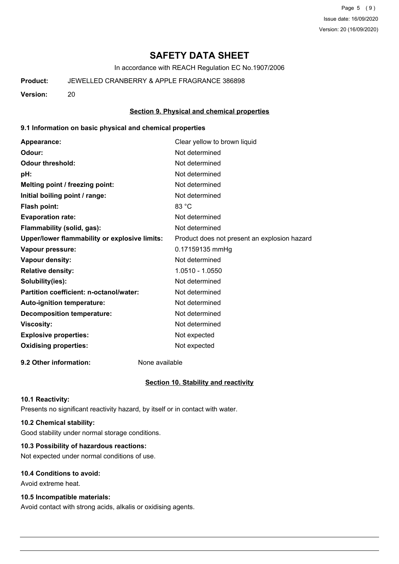Page 5 (9) Issue date: 16/09/2020 Version: 20 (16/09/2020)

# **SAFETY DATA SHEET**

In accordance with REACH Regulation EC No.1907/2006

### **Product:** JEWELLED CRANBERRY & APPLE FRAGRANCE 386898

**Version:** 20

#### **Section 9. Physical and chemical properties**

#### **9.1 Information on basic physical and chemical properties**

| Appearance:                                   | Clear yellow to brown liquid                 |
|-----------------------------------------------|----------------------------------------------|
| Odour:                                        | Not determined                               |
| <b>Odour threshold:</b>                       | Not determined                               |
| pH:                                           | Not determined                               |
| Melting point / freezing point:               | Not determined                               |
| Initial boiling point / range:                | Not determined                               |
| <b>Flash point:</b>                           | 83 °C                                        |
| <b>Evaporation rate:</b>                      | Not determined                               |
| Flammability (solid, gas):                    | Not determined                               |
| Upper/lower flammability or explosive limits: | Product does not present an explosion hazard |
| Vapour pressure:                              | 0.17159135 mmHg                              |
| Vapour density:                               | Not determined                               |
| <b>Relative density:</b>                      | 1.0510 - 1.0550                              |
| Solubility(ies):                              | Not determined                               |
| Partition coefficient: n-octanol/water:       | Not determined                               |
| Auto-ignition temperature:                    | Not determined                               |
| <b>Decomposition temperature:</b>             | Not determined                               |
| <b>Viscosity:</b>                             | Not determined                               |
| <b>Explosive properties:</b>                  | Not expected                                 |
| <b>Oxidising properties:</b>                  | Not expected                                 |
|                                               |                                              |

**9.2 Other information:** None available

#### **Section 10. Stability and reactivity**

#### **10.1 Reactivity:**

Presents no significant reactivity hazard, by itself or in contact with water.

## **10.2 Chemical stability:**

Good stability under normal storage conditions.

# **10.3 Possibility of hazardous reactions:**

Not expected under normal conditions of use.

## **10.4 Conditions to avoid:**

Avoid extreme heat.

## **10.5 Incompatible materials:**

Avoid contact with strong acids, alkalis or oxidising agents.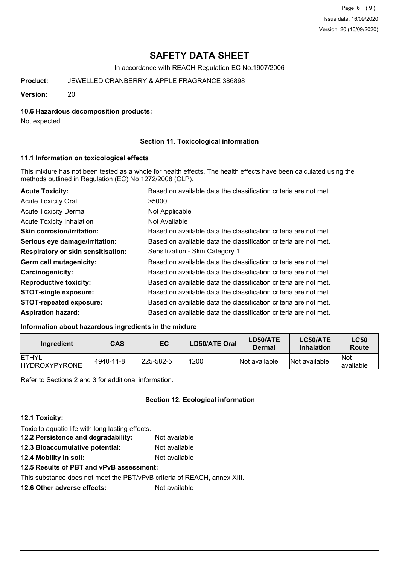Page 6 (9) Issue date: 16/09/2020 Version: 20 (16/09/2020)

# **SAFETY DATA SHEET**

In accordance with REACH Regulation EC No.1907/2006

**Product:** JEWELLED CRANBERRY & APPLE FRAGRANCE 386898

**Version:** 20

### **10.6 Hazardous decomposition products:**

Not expected.

### **Section 11. Toxicological information**

### **11.1 Information on toxicological effects**

This mixture has not been tested as a whole for health effects. The health effects have been calculated using the methods outlined in Regulation (EC) No 1272/2008 (CLP).

| <b>Acute Toxicity:</b>                    | Based on available data the classification criteria are not met. |
|-------------------------------------------|------------------------------------------------------------------|
| <b>Acute Toxicity Oral</b>                | >5000                                                            |
| <b>Acute Toxicity Dermal</b>              | Not Applicable                                                   |
| <b>Acute Toxicity Inhalation</b>          | Not Available                                                    |
| <b>Skin corrosion/irritation:</b>         | Based on available data the classification criteria are not met. |
| Serious eye damage/irritation:            | Based on available data the classification criteria are not met. |
| <b>Respiratory or skin sensitisation:</b> | Sensitization - Skin Category 1                                  |
| Germ cell mutagenicity:                   | Based on available data the classification criteria are not met. |
| <b>Carcinogenicity:</b>                   | Based on available data the classification criteria are not met. |
| <b>Reproductive toxicity:</b>             | Based on available data the classification criteria are not met. |
| <b>STOT-single exposure:</b>              | Based on available data the classification criteria are not met. |
| <b>STOT-repeated exposure:</b>            | Based on available data the classification criteria are not met. |
| <b>Aspiration hazard:</b>                 | Based on available data the classification criteria are not met. |

### **Information about hazardous ingredients in the mixture**

| Ingredient                            | CAS       | EC               | LD50/ATE Oral | LD50/ATE<br>Dermal | LC50/ATE<br><b>Inhalation</b> | <b>LC50</b><br>Route     |
|---------------------------------------|-----------|------------------|---------------|--------------------|-------------------------------|--------------------------|
| <b>IETHYL</b><br><b>HYDROXYPYRONE</b> | 4940-11-8 | $ 225 - 582 - 5$ | 1200          | Not available      | Not available                 | <b>Not</b><br>lavailable |

Refer to Sections 2 and 3 for additional information.

### **Section 12. Ecological information**

### **12.1 Toxicity:**

Toxic to aquatic life with long lasting effects. **12.2 Persistence and degradability:** Not available **12.3 Bioaccumulative potential:** Not available **12.4 Mobility in soil:** Not available

**12.5 Results of PBT and vPvB assessment:**

This substance does not meet the PBT/vPvB criteria of REACH, annex XIII.

**12.6 Other adverse effects:** Not available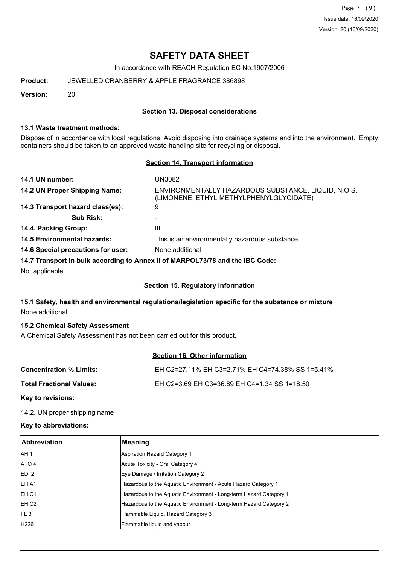Page 7 (9) Issue date: 16/09/2020 Version: 20 (16/09/2020)

# **SAFETY DATA SHEET**

In accordance with REACH Regulation EC No.1907/2006

**Product:** JEWELLED CRANBERRY & APPLE FRAGRANCE 386898

**Version:** 20

### **Section 13. Disposal considerations**

### **13.1 Waste treatment methods:**

Dispose of in accordance with local regulations. Avoid disposing into drainage systems and into the environment. Empty containers should be taken to an approved waste handling site for recycling or disposal.

### **Section 14. Transport information**

| 14.1 UN number:                                                               | UN3082                                                                                         |
|-------------------------------------------------------------------------------|------------------------------------------------------------------------------------------------|
| 14.2 UN Proper Shipping Name:                                                 | ENVIRONMENTALLY HAZARDOUS SUBSTANCE, LIQUID, N.O.S.<br>(LIMONENE, ETHYL METHYLPHENYLGLYCIDATE) |
| 14.3 Transport hazard class(es):                                              | 9                                                                                              |
| <b>Sub Risk:</b>                                                              |                                                                                                |
| 14.4. Packing Group:                                                          | Ш                                                                                              |
| <b>14.5 Environmental hazards:</b>                                            | This is an environmentally hazardous substance.                                                |
| 14.6 Special precautions for user:                                            | None additional                                                                                |
| 14.7 Transport in bulk according to Annex II of MARPOL73/78 and the IBC Code: |                                                                                                |

Not applicable

### **Section 15. Regulatory information**

## **15.1 Safety, health and environmental regulations/legislation specific for the substance or mixture** None additional

### **15.2 Chemical Safety Assessment**

A Chemical Safety Assessment has not been carried out for this product.

### **Section 16. Other information**

| <b>Concentration % Limits:</b>  | EH C2=27.11% EH C3=2.71% EH C4=74.38% SS 1=5.41% |
|---------------------------------|--------------------------------------------------|
| <b>Total Fractional Values:</b> | EH C2=3.69 EH C3=36.89 EH C4=1.34 SS 1=18.50     |
|                                 |                                                  |

**Key to revisions:**

14.2. UN proper shipping name

### **Key to abbreviations:**

| <b>Abbreviation</b> | Meaning                                                            |
|---------------------|--------------------------------------------------------------------|
| IAH 1               | Aspiration Hazard Category 1                                       |
| ATO 4               | Acute Toxicity - Oral Category 4                                   |
| EDI <sub>2</sub>    | Eye Damage / Irritation Category 2                                 |
| <b>EHA1</b>         | Hazardous to the Aquatic Environment - Acute Hazard Category 1     |
| IEH C1              | Hazardous to the Aquatic Environment - Long-term Hazard Category 1 |
| EH C <sub>2</sub>   | Hazardous to the Aquatic Environment - Long-term Hazard Category 2 |
| FL <sub>3</sub>     | Flammable Liquid, Hazard Category 3                                |
| H226                | Flammable liquid and vapour.                                       |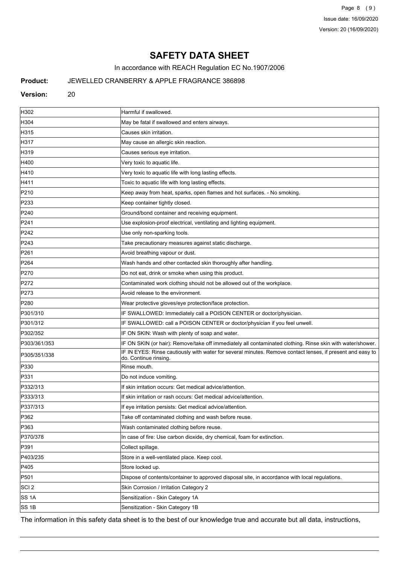Page 8 (9) Issue date: 16/09/2020 Version: 20 (16/09/2020)

# **SAFETY DATA SHEET**

In accordance with REACH Regulation EC No.1907/2006

# **Product:** JEWELLED CRANBERRY & APPLE FRAGRANCE 386898

### Version: 20

| H302             | Harmful if swallowed.                                                                                                               |
|------------------|-------------------------------------------------------------------------------------------------------------------------------------|
| H304             | May be fatal if swallowed and enters airways.                                                                                       |
| H315             | Causes skin irritation.                                                                                                             |
| H317             | May cause an allergic skin reaction.                                                                                                |
| H319             | Causes serious eye irritation.                                                                                                      |
| H400             | Very toxic to aquatic life.                                                                                                         |
| H410             | Very toxic to aquatic life with long lasting effects.                                                                               |
| H411             | Toxic to aquatic life with long lasting effects.                                                                                    |
| P210             | Keep away from heat, sparks, open flames and hot surfaces. - No smoking.                                                            |
| P233             | Keep container tightly closed.                                                                                                      |
| P240             | Ground/bond container and receiving equipment.                                                                                      |
| P241             | Use explosion-proof electrical, ventilating and lighting equipment.                                                                 |
| P242             | Use only non-sparking tools.                                                                                                        |
| P243             | Take precautionary measures against static discharge.                                                                               |
| P261             | Avoid breathing vapour or dust.                                                                                                     |
| P <sub>264</sub> | Wash hands and other contacted skin thoroughly after handling.                                                                      |
| P270             | Do not eat, drink or smoke when using this product.                                                                                 |
| P272             | Contaminated work clothing should not be allowed out of the workplace.                                                              |
| P273             | Avoid release to the environment.                                                                                                   |
| P280             | Wear protective gloves/eye protection/face protection.                                                                              |
| P301/310         | IF SWALLOWED: Immediately call a POISON CENTER or doctor/physician.                                                                 |
| P301/312         | IF SWALLOWED: call a POISON CENTER or doctor/physician if you feel unwell.                                                          |
| P302/352         | IF ON SKIN: Wash with plenty of soap and water.                                                                                     |
| P303/361/353     | IF ON SKIN (or hair): Remove/take off immediately all contaminated clothing. Rinse skin with water/shower.                          |
| P305/351/338     | IF IN EYES: Rinse cautiously with water for several minutes. Remove contact lenses, if present and easy to<br>do. Continue rinsing. |
| P330             | Rinse mouth.                                                                                                                        |
| P331             | Do not induce vomiting.                                                                                                             |
| P332/313         | If skin irritation occurs: Get medical advice/attention.                                                                            |
| P333/313         | If skin irritation or rash occurs: Get medical advice/attention.                                                                    |
| P337/313         | If eye irritation persists: Get medical advice/attention.                                                                           |
| P362             | Take off contaminated clothing and wash before reuse.                                                                               |
| P363             | Wash contaminated clothing before reuse.                                                                                            |
| P370/378         | In case of fire: Use carbon dioxide, dry chemical, foam for extinction.                                                             |
| P391             | Collect spillage.                                                                                                                   |
| P403/235         | Store in a well-ventilated place. Keep cool.                                                                                        |
| P405             | Store locked up.                                                                                                                    |
| P501             | Dispose of contents/container to approved disposal site, in accordance with local regulations.                                      |
| SCI <sub>2</sub> | Skin Corrosion / Irritation Category 2                                                                                              |
| SS 1A            | Sensitization - Skin Category 1A                                                                                                    |
| SS 1B            | Sensitization - Skin Category 1B                                                                                                    |

The information in this safety data sheet is to the best of our knowledge true and accurate but all data, instructions,